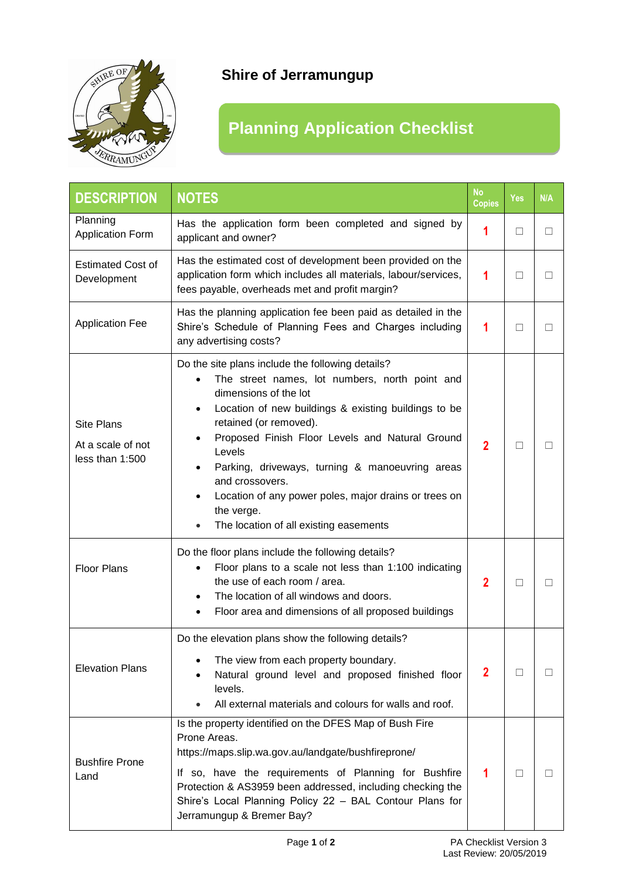

## **Shire of Jerramungup**

## **Planning Application Checklist**

| <b>DESCRIPTION</b>                                        | <b>NOTES</b>                                                                                                                                                                                                                                                                                                                                                                                                                                                                   | <b>No</b><br><b>Copies</b> | <b>Yes</b> | N/A          |
|-----------------------------------------------------------|--------------------------------------------------------------------------------------------------------------------------------------------------------------------------------------------------------------------------------------------------------------------------------------------------------------------------------------------------------------------------------------------------------------------------------------------------------------------------------|----------------------------|------------|--------------|
| Planning<br><b>Application Form</b>                       | Has the application form been completed and signed by<br>applicant and owner?                                                                                                                                                                                                                                                                                                                                                                                                  | 1                          | $\Box$     | $\perp$      |
| <b>Estimated Cost of</b><br>Development                   | Has the estimated cost of development been provided on the<br>application form which includes all materials, labour/services,<br>fees payable, overheads met and profit margin?                                                                                                                                                                                                                                                                                                | 1                          | □          | П            |
| <b>Application Fee</b>                                    | Has the planning application fee been paid as detailed in the<br>Shire's Schedule of Planning Fees and Charges including<br>any advertising costs?                                                                                                                                                                                                                                                                                                                             | 1                          | П          |              |
| <b>Site Plans</b><br>At a scale of not<br>less than 1:500 | Do the site plans include the following details?<br>The street names, lot numbers, north point and<br>dimensions of the lot<br>Location of new buildings & existing buildings to be<br>$\bullet$<br>retained (or removed).<br>Proposed Finish Floor Levels and Natural Ground<br>Levels<br>Parking, driveways, turning & manoeuvring areas<br>and crossovers.<br>Location of any power poles, major drains or trees on<br>the verge.<br>The location of all existing easements | $\overline{2}$             | П          |              |
| <b>Floor Plans</b>                                        | Do the floor plans include the following details?<br>Floor plans to a scale not less than 1:100 indicating<br>the use of each room / area.<br>The location of all windows and doors.<br>Floor area and dimensions of all proposed buildings<br>$\bullet$                                                                                                                                                                                                                       | $\overline{2}$             | □          | $\Box$       |
| <b>Elevation Plans</b>                                    | Do the elevation plans show the following details?<br>The view from each property boundary.<br>Natural ground level and proposed finished floor<br>levels.<br>All external materials and colours for walls and roof.                                                                                                                                                                                                                                                           | $\mathbf{2}$               | П          |              |
| <b>Bushfire Prone</b><br>Land                             | Is the property identified on the DFES Map of Bush Fire<br>Prone Areas.<br>https://maps.slip.wa.gov.au/landgate/bushfireprone/<br>If so, have the requirements of Planning for Bushfire<br>Protection & AS3959 been addressed, including checking the<br>Shire's Local Planning Policy 22 - BAL Contour Plans for<br>Jerramungup & Bremer Bay?                                                                                                                                 | 1                          | П          | $\mathsf{L}$ |